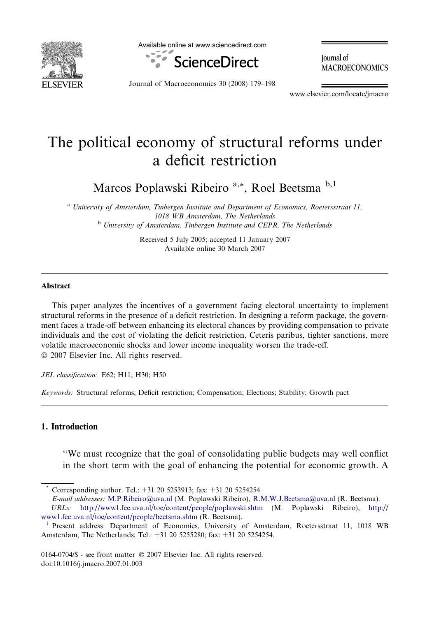

Available online at www.sciencedirect.com



**Iournal** of **MACROECONOMICS** 

Journal of Macroeconomics 30 (2008) 179–198

www.elsevier.com/locate/jmacro

## The political economy of structural reforms under a deficit restriction

Marcos Poplawski Ribeiro<sup>a,\*</sup>, Roel Beetsma<sup>b,1</sup>

<sup>a</sup> University of Amsterdam, Tinbergen Institute and Department of Economics, Roetersstraat 11, 1018 WB Amsterdam, The Netherlands <sup>b</sup> University of Amsterdam, Tinbergen Institute and CEPR, The Netherlands

> Received 5 July 2005; accepted 11 January 2007 Available online 30 March 2007

## Abstract

This paper analyzes the incentives of a government facing electoral uncertainty to implement structural reforms in the presence of a deficit restriction. In designing a reform package, the government faces a trade-off between enhancing its electoral chances by providing compensation to private individuals and the cost of violating the deficit restriction. Ceteris paribus, tighter sanctions, more volatile macroeconomic shocks and lower income inequality worsen the trade-off. © 2007 Elsevier Inc. All rights reserved.

JEL classification: E62; H11; H30; H50

Keywords: Structural reforms; Deficit restriction; Compensation; Elections; Stability; Growth pact

## 1. Introduction

''We must recognize that the goal of consolidating public budgets may well conflict in the short term with the goal of enhancing the potential for economic growth. A

Corresponding author. Tel.: +31 20 5253913; fax: +31 20 5254254.

E-mail addresses: [M.P.Ribeiro@uva.nl](mailto:M.P.Ribeiro@uva.nl) (M. Poplawski Ribeiro), [R.M.W.J.Beetsma@uva.nl](mailto:R.M.W.J.Beetsma@uva.nl) (R. Beetsma).

URLs: <http://www1.fee.uva.nl/toe/content/people/poplawski.shtm> (M. Poplawski Ribeiro), [http://](http://www1.fee.uva.nl/toe/content/people/beetsma.shtm)

[www1.fee.uva.nl/toe/content/people/beetsma.shtm](http://www1.fee.uva.nl/toe/content/people/beetsma.shtm) (R. Beetsma).<br><sup>1</sup> Present address: Department of Economics, University of Amsterdam, Roetersstraat 11, 1018 WB Amsterdam, The Netherlands; Tel.: +31 20 5255280; fax: +31 20 5254254.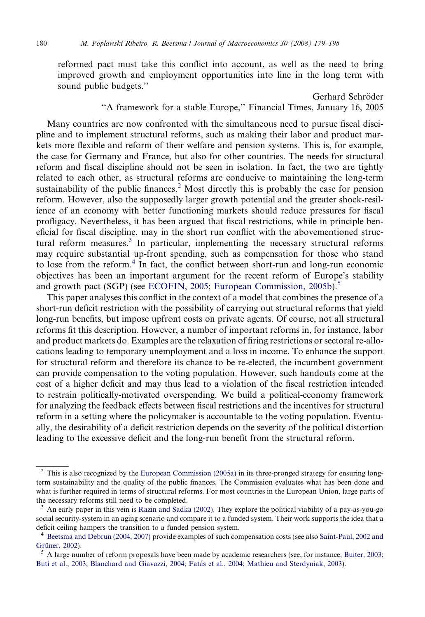reformed pact must take this conflict into account, as well as the need to bring improved growth and employment opportunities into line in the long term with sound public budgets.''

> Gerhard Schröder ''A framework for a stable Europe,'' Financial Times, January 16, 2005

Many countries are now confronted with the simultaneous need to pursue fiscal discipline and to implement structural reforms, such as making their labor and product markets more flexible and reform of their welfare and pension systems. This is, for example, the case for Germany and France, but also for other countries. The needs for structural reform and fiscal discipline should not be seen in isolation. In fact, the two are tightly related to each other, as structural reforms are conducive to maintaining the long-term sustainability of the public finances.<sup>2</sup> Most directly this is probably the case for pension reform. However, also the supposedly larger growth potential and the greater shock-resilience of an economy with better functioning markets should reduce pressures for fiscal profligacy. Nevertheless, it has been argued that fiscal restrictions, while in principle beneficial for fiscal discipline, may in the short run conflict with the abovementioned structural reform measures.<sup>3</sup> In particular, implementing the necessary structural reforms may require substantial up-front spending, such as compensation for those who stand to lose from the reform.<sup>4</sup> In fact, the conflict between short-run and long-run economic objectives has been an important argument for the recent reform of Europe's stability and growth pact (SGP) (see [ECOFIN, 2005](#page--1-0); [European Commission, 2005b](#page--1-0)).<sup>5</sup>

This paper analyses this conflict in the context of a model that combines the presence of a short-run deficit restriction with the possibility of carrying out structural reforms that yield long-run benefits, but impose upfront costs on private agents. Of course, not all structural reforms fit this description. However, a number of important reforms in, for instance, labor and product markets do. Examples are the relaxation of firing restrictions or sectoral re-allocations leading to temporary unemployment and a loss in income. To enhance the support for structural reform and therefore its chance to be re-elected, the incumbent government can provide compensation to the voting population. However, such handouts come at the cost of a higher deficit and may thus lead to a violation of the fiscal restriction intended to restrain politically-motivated overspending. We build a political-economy framework for analyzing the feedback effects between fiscal restrictions and the incentives for structural reform in a setting where the policymaker is accountable to the voting population. Eventually, the desirability of a deficit restriction depends on the severity of the political distortion leading to the excessive deficit and the long-run benefit from the structural reform.

<sup>&</sup>lt;sup>2</sup> This is also recognized by the [European Commission \(2005a\)](#page--1-0) in its three-pronged strategy for ensuring longterm sustainability and the quality of the public finances. The Commission evaluates what has been done and what is further required in terms of structural reforms. For most countries in the European Union, large parts of the necessary reforms still need to be completed.

 $3$  An early paper in this vein is [Razin and Sadka \(2002\).](#page--1-0) They explore the political viability of a pay-as-you-go social security-system in an aging scenario and compare it to a funded system. Their work supports the idea that a deficit ceiling hampers the transition to a funded pension system.

<sup>4</sup> [Beetsma and Debrun \(2004, 2007\)](#page--1-0) provide examples of such compensation costs (see also [Saint-Paul, 2002 and](#page--1-0) Grüner, 2002).  $\frac{5}{5}$  A large number of reform proposals have been made by academic researchers (see, for instance, [Buiter, 2003;](#page--1-0)

Buti et al., 2003; Blanchard and Giavazzi, 2004; Fatás et al., 2004; Mathieu and Sterdyniak, 2003).